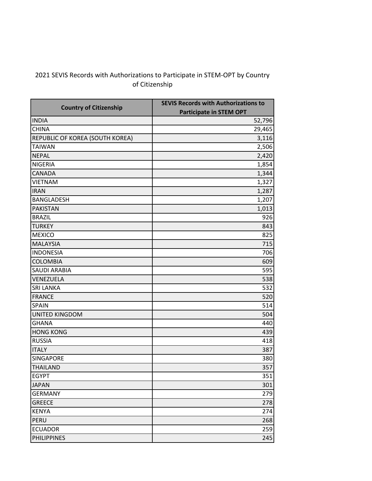## 2021 SEVIS Records with Authorizations to Participate in STEM-OPT by Country of Citizenship

| <b>Country of Citizenship</b>   | <b>SEVIS Records with Authorizations to</b> |  |
|---------------------------------|---------------------------------------------|--|
|                                 | <b>Participate in STEM OPT</b>              |  |
| <b>INDIA</b>                    | 52,796                                      |  |
| <b>CHINA</b>                    | 29,465                                      |  |
| REPUBLIC OF KOREA (SOUTH KOREA) | 3,116                                       |  |
| <b>TAIWAN</b>                   | 2,506                                       |  |
| <b>NEPAL</b>                    | 2,420                                       |  |
| <b>NIGERIA</b>                  | 1,854                                       |  |
| <b>CANADA</b>                   | 1,344                                       |  |
| <b>VIETNAM</b>                  | 1,327                                       |  |
| <b>IRAN</b>                     | 1,287                                       |  |
| <b>BANGLADESH</b>               | 1,207                                       |  |
| <b>PAKISTAN</b>                 | 1,013                                       |  |
| <b>BRAZIL</b>                   | 926                                         |  |
| <b>TURKEY</b>                   | 843                                         |  |
| <b>MEXICO</b>                   | 825                                         |  |
| <b>MALAYSIA</b>                 | 715                                         |  |
| <b>INDONESIA</b>                | 706                                         |  |
| <b>COLOMBIA</b>                 | 609                                         |  |
| <b>SAUDI ARABIA</b>             | 595                                         |  |
| VENEZUELA                       | 538                                         |  |
| <b>SRI LANKA</b>                | 532                                         |  |
| <b>FRANCE</b>                   | 520                                         |  |
| <b>SPAIN</b>                    | 514                                         |  |
| <b>UNITED KINGDOM</b>           | 504                                         |  |
| <b>GHANA</b>                    | 440                                         |  |
| <b>HONG KONG</b>                | 439                                         |  |
| <b>RUSSIA</b>                   | 418                                         |  |
| <b>ITALY</b>                    | 387                                         |  |
| SINGAPORE                       | 380                                         |  |
| <b>THAILAND</b>                 | 357                                         |  |
| <b>EGYPT</b>                    | 351                                         |  |
| <b>JAPAN</b>                    | 301                                         |  |
| <b>GERMANY</b>                  | 279                                         |  |
| <b>GREECE</b>                   | 278                                         |  |
| <b>KENYA</b>                    | 274                                         |  |
| <b>PERU</b>                     | 268                                         |  |
| <b>ECUADOR</b>                  | 259                                         |  |
| <b>PHILIPPINES</b>              | 245                                         |  |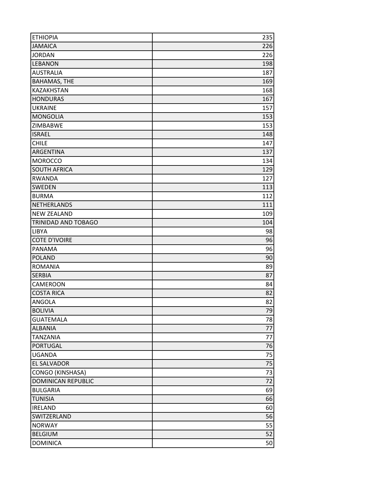| <b>ETHIOPIA</b>           | 235 |
|---------------------------|-----|
| <b>JAMAICA</b>            | 226 |
| <b>JORDAN</b>             | 226 |
| <b>LEBANON</b>            | 198 |
| <b>AUSTRALIA</b>          | 187 |
| <b>BAHAMAS, THE</b>       | 169 |
| KAZAKHSTAN                | 168 |
| <b>HONDURAS</b>           | 167 |
| <b>UKRAINE</b>            | 157 |
| <b>MONGOLIA</b>           | 153 |
| ZIMBABWE                  | 153 |
| <b>ISRAEL</b>             | 148 |
| <b>CHILE</b>              | 147 |
| ARGENTINA                 | 137 |
| <b>MOROCCO</b>            | 134 |
| <b>SOUTH AFRICA</b>       | 129 |
| <b>RWANDA</b>             | 127 |
| <b>SWEDEN</b>             | 113 |
| <b>BURMA</b>              | 112 |
| <b>NETHERLANDS</b>        | 111 |
| <b>NEW ZEALAND</b>        | 109 |
| TRINIDAD AND TOBAGO       | 104 |
| <b>LIBYA</b>              | 98  |
| <b>COTE D'IVOIRE</b>      | 96  |
| <b>PANAMA</b>             | 96  |
| <b>POLAND</b>             | 90  |
| <b>ROMANIA</b>            | 89  |
| <b>SERBIA</b>             | 87  |
| CAMEROON                  | 84  |
| <b>COSTA RICA</b>         | 82  |
| <b>ANGOLA</b>             | 82  |
| <b>BOLIVIA</b>            | 79  |
| <b>GUATEMALA</b>          | 78  |
| <b>ALBANIA</b>            | 77  |
| <b>TANZANIA</b>           | 77  |
| <b>PORTUGAL</b>           | 76  |
| <b>UGANDA</b>             | 75  |
| EL SALVADOR               | 75  |
| CONGO (KINSHASA)          | 73  |
| <b>DOMINICAN REPUBLIC</b> | 72  |
| <b>BULGARIA</b>           | 69  |
| <b>TUNISIA</b>            | 66  |
| <b>IRELAND</b>            | 60  |
| SWITZERLAND               | 56  |
| <b>NORWAY</b>             | 55  |
| <b>BELGIUM</b>            | 52  |
| <b>DOMINICA</b>           | 50  |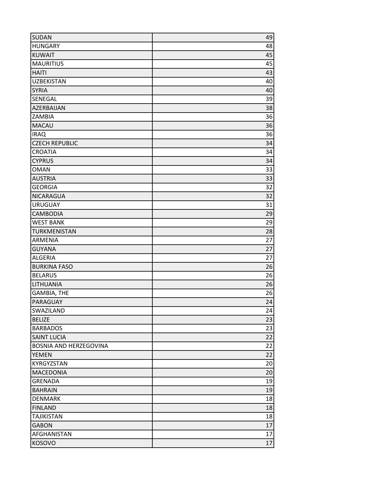| <b>SUDAN</b>                  | 49 |
|-------------------------------|----|
| <b>HUNGARY</b>                | 48 |
| <b>KUWAIT</b>                 | 45 |
| <b>MAURITIUS</b>              | 45 |
| <b>HAITI</b>                  | 43 |
| <b>UZBEKISTAN</b>             | 40 |
| <b>SYRIA</b>                  | 40 |
| SENEGAL                       | 39 |
| AZERBAIJAN                    | 38 |
| ZAMBIA                        | 36 |
| <b>MACAU</b>                  | 36 |
| <b>IRAQ</b>                   | 36 |
| <b>CZECH REPUBLIC</b>         | 34 |
| <b>CROATIA</b>                | 34 |
| <b>CYPRUS</b>                 | 34 |
| <b>OMAN</b>                   | 33 |
| <b>AUSTRIA</b>                | 33 |
| <b>GEORGIA</b>                | 32 |
| NICARAGUA                     | 32 |
| <b>URUGUAY</b>                | 31 |
| CAMBODIA                      | 29 |
| <b>WEST BANK</b>              | 29 |
| TURKMENISTAN                  | 28 |
| ARMENIA                       | 27 |
| <b>GUYANA</b>                 | 27 |
| <b>ALGERIA</b>                | 27 |
| <b>BURKINA FASO</b>           | 26 |
| <b>BELARUS</b>                | 26 |
| LITHUANIA                     | 26 |
| <b>GAMBIA, THE</b>            | 26 |
| PARAGUAY                      | 24 |
| SWAZILAND                     | 24 |
| <b>BELIZE</b>                 | 23 |
| <b>BARBADOS</b>               | 23 |
| <b>SAINT LUCIA</b>            | 22 |
| <b>BOSNIA AND HERZEGOVINA</b> | 22 |
| <b>YEMEN</b>                  | 22 |
| KYRGYZSTAN                    | 20 |
| <b>MACEDONIA</b>              | 20 |
| <b>GRENADA</b>                | 19 |
| <b>BAHRAIN</b>                | 19 |
| <b>DENMARK</b>                | 18 |
| <b>FINLAND</b>                | 18 |
| <b>TAJIKISTAN</b>             | 18 |
| <b>GABON</b>                  | 17 |
| AFGHANISTAN                   | 17 |
| KOSOVO                        | 17 |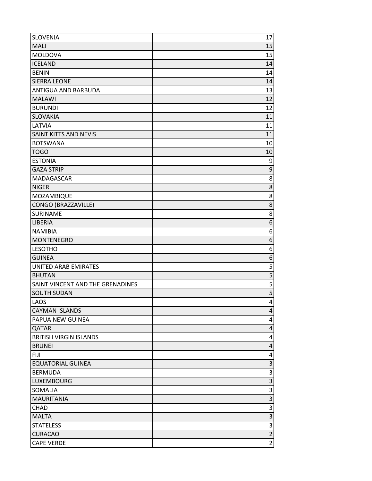| <b>SLOVENIA</b>                                        | 17                      |
|--------------------------------------------------------|-------------------------|
| MALI                                                   | 15                      |
| <b>MOLDOVA</b>                                         | 15                      |
| <b>ICELAND</b>                                         | 14                      |
| <b>BENIN</b>                                           | 14                      |
| <b>SIERRA LEONE</b>                                    | 14                      |
| ANTIGUA AND BARBUDA                                    | 13                      |
| <b>MALAWI</b>                                          | 12                      |
| <b>BURUNDI</b>                                         | 12                      |
| <b>SLOVAKIA</b>                                        | 11                      |
| LATVIA                                                 | 11                      |
| SAINT KITTS AND NEVIS                                  | 11                      |
| <b>BOTSWANA</b>                                        | 10                      |
| <b>TOGO</b>                                            | 10                      |
| <b>ESTONIA</b>                                         | 9                       |
| <b>GAZA STRIP</b>                                      | $\overline{9}$          |
| <b>MADAGASCAR</b>                                      | 8                       |
| <b>NIGER</b>                                           | $\overline{8}$          |
| MOZAMBIQUE                                             | 8                       |
| CONGO (BRAZZAVILLE)                                    | $\overline{8}$          |
| SURINAME                                               | 8                       |
| LIBERIA                                                | 6                       |
| <b>NAMIBIA</b>                                         | 6                       |
| <b>MONTENEGRO</b>                                      | 6                       |
| <b>LESOTHO</b>                                         | 6                       |
| <b>GUINEA</b>                                          | 6                       |
| <b>UNITED ARAB EMIRATES</b>                            | 5<br>$\overline{5}$     |
| <b>BHUTAN</b>                                          | 5                       |
| SAINT VINCENT AND THE GRENADINES<br><b>SOUTH SUDAN</b> | $\overline{5}$          |
| <b>LAOS</b>                                            | 4                       |
| <b>CAYMAN ISLANDS</b>                                  | 4                       |
| PAPUA NEW GUINEA                                       | 4                       |
| QATAR                                                  | 4                       |
| <b>BRITISH VIRGIN ISLANDS</b>                          | 4                       |
| <b>BRUNEI</b>                                          | 4                       |
| <b>FIJI</b>                                            | 4                       |
| <b>EQUATORIAL GUINEA</b>                               | $\overline{3}$          |
| <b>BERMUDA</b>                                         | $\overline{3}$          |
| <b>LUXEMBOURG</b>                                      | $\overline{3}$          |
| SOMALIA                                                | 3                       |
| <b>MAURITANIA</b>                                      | $\overline{3}$          |
| CHAD                                                   | $\overline{\mathbf{3}}$ |
| <b>MALTA</b>                                           | $\overline{3}$          |
| <b>STATELESS</b>                                       |                         |
| <b>CURACAO</b>                                         | س   س                   |
| <b>CAPE VERDE</b>                                      | $\overline{2}$          |